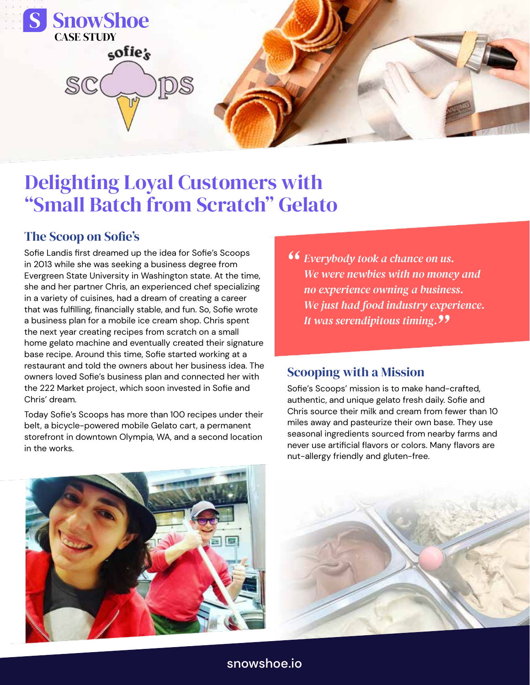

# Delighting Loyal Customers with "Small Batch from Scratch" Gelato

#### The Scoop on Sofie's

Sofie Landis first dreamed up the idea for Sofie's Scoops in 2013 while she was seeking a business degree from Evergreen State University in Washington state. At the time, she and her partner Chris, an experienced chef specializing in a variety of cuisines, had a dream of creating a career that was fulfilling, financially stable, and fun. So, Sofie wrote a business plan for a mobile ice cream shop. Chris spent the next year creating recipes from scratch on a small home gelato machine and eventually created their signature base recipe. Around this time, Sofie started working at a restaurant and told the owners about her business idea. The owners loved Sofie's business plan and connected her with the 222 Market project, which soon invested in Sofie and Chris' dream.

Today Sofie's Scoops has more than 100 recipes under their belt, a bicycle-powered mobile Gelato cart, a permanent storefront in downtown Olympia, WA, and a second location in the works.

**Exerybody took a chance on us.**<br>We were newbies with no money *We were newbies with no money and no experience owning a business. We just had food industry experience. It was serendipitous timing. "*

#### Scooping with a Mission

Sofie's Scoops' mission is to make hand-crafted, authentic, and unique gelato fresh daily. Sofie and Chris source their milk and cream from fewer than 10 miles away and pasteurize their own base. They use seasonal ingredients sourced from nearby farms and never use artificial flavors or colors. Many flavors are nut-allergy friendly and gluten-free.





snowshoe.io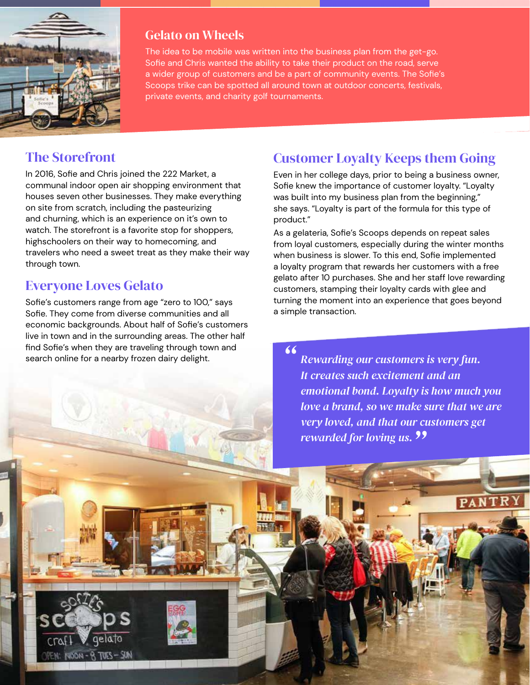

#### Gelato on Wheels

The idea to be mobile was written into the business plan from the get-go. Sofie and Chris wanted the ability to take their product on the road, serve a wider group of customers and be a part of community events. The Sofie's Scoops trike can be spotted all around town at outdoor concerts, festivals, private events, and charity golf tournaments.

## The Storefront

In 2016, Sofie and Chris joined the 222 Market, a communal indoor open air shopping environment that houses seven other businesses. They make everything on site from scratch, including the pasteurizing and churning, which is an experience on it's own to watch. The storefront is a favorite stop for shoppers, highschoolers on their way to homecoming, and travelers who need a sweet treat as they make their way through town.

## Everyone Loves Gelato

 $MZ - 2JUTR - 40001$ 

Sofie's customers range from age "zero to 100," says Sofie. They come from diverse communities and all economic backgrounds. About half of Sofie's customers live in town and in the surrounding areas. The other half find Sofie's when they are traveling through town and search online for a nearby frozen dairy delight.

## Customer Loyalty Keeps them Going

Even in her college days, prior to being a business owner, Sofie knew the importance of customer loyalty. "Loyalty was built into my business plan from the beginning," she says. "Loyalty is part of the formula for this type of product."

As a gelateria, Sofie's Scoops depends on repeat sales from loyal customers, especially during the winter months when business is slower. To this end, Sofie implemented a loyalty program that rewards her customers with a free gelato after 10 purchases. She and her staff love rewarding customers, stamping their loyalty cards with glee and turning the moment into an experience that goes beyond a simple transaction.

*Rewarding our customers is very fun. It creates such excitement and an emotional bond. Loyalty is how much you love a brand, so we make sure that we are very loved, and that our customers get rewarded for loving us. " "*

PANTR